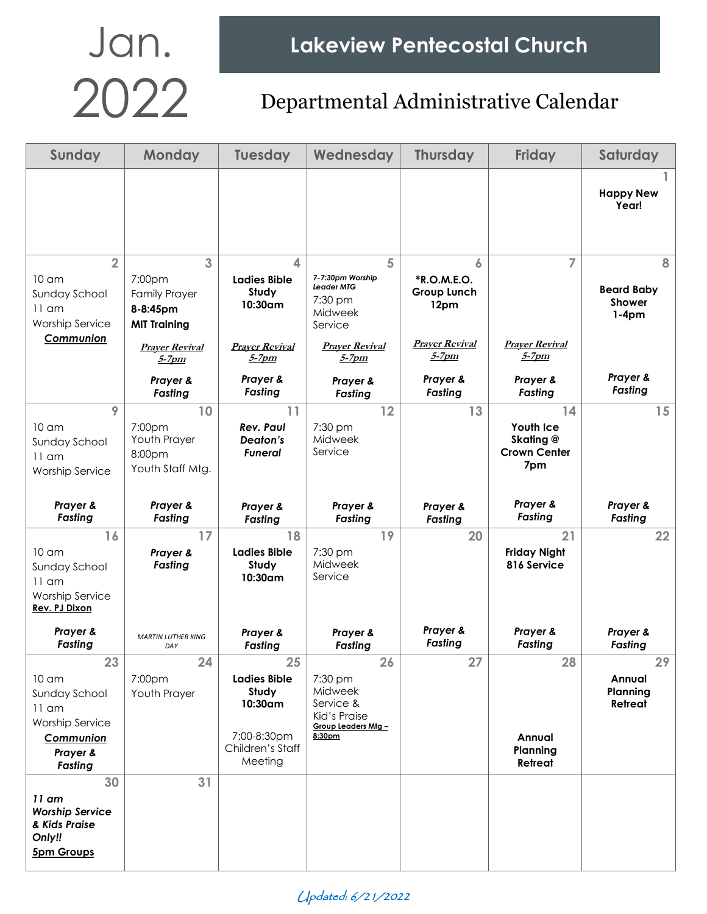| Sunday                                                                                                                  | <b>Monday</b>                                                                                   | <b>Tuesday</b>                                                                              | Wednesday                                                                                            | <b>Thursday</b>                                                         | <b>Friday</b>                                                     | Saturday                                           |
|-------------------------------------------------------------------------------------------------------------------------|-------------------------------------------------------------------------------------------------|---------------------------------------------------------------------------------------------|------------------------------------------------------------------------------------------------------|-------------------------------------------------------------------------|-------------------------------------------------------------------|----------------------------------------------------|
|                                                                                                                         |                                                                                                 |                                                                                             |                                                                                                      |                                                                         |                                                                   | <b>Happy New</b><br>Year!                          |
| $\overline{2}$<br>10 am<br>Sunday School<br>$11$ am<br><b>Worship Service</b><br>Communion                              | 3<br>7:00pm<br><b>Family Prayer</b><br>8-8:45pm<br><b>MIT Training</b><br><b>Prayer Revival</b> | $\blacktriangle$<br><b>Ladies Bible</b><br>Study<br>10:30am<br><b>Prayer Revival</b>        | 5<br>7-7:30pm Worship<br><b>Leader MTG</b><br>7:30 pm<br>Midweek<br>Service<br><b>Praver Revival</b> | 6<br>*R.O.M.E.O.<br><b>Group Lunch</b><br>12pm<br><b>Prayer Revival</b> | 7<br><b>Prayer Revival</b>                                        | 8<br><b>Beard Baby</b><br><b>Shower</b><br>$1-4pm$ |
|                                                                                                                         | $5-7$ pm<br>Prayer &<br>Fasting                                                                 | 5-7pm<br>Prayer &<br>Fasting                                                                | $5-7$ pm<br>Prayer &<br>Fasting                                                                      | 5-7pm<br>Prayer &<br>Fasting                                            | 5-7pm<br>Prayer &<br>Fasting                                      | Prayer &<br>Fasting                                |
| 9<br>10 <sub>cm</sub><br>Sunday School<br>$11$ am<br>Worship Service                                                    | 10<br>7:00pm<br>Youth Prayer<br>8:00pm<br>Youth Staff Mtg.                                      | 11<br><b>Rev. Paul</b><br>Deaton's<br>Funeral                                               | 12<br>7:30 pm<br>Midweek<br>Service                                                                  | 13                                                                      | 14<br><b>Youth Ice</b><br>Skating @<br><b>Crown Center</b><br>7pm | 15                                                 |
| Prayer &<br>Fasting                                                                                                     | Prayer &<br>Fasting                                                                             | Prayer &<br><b>Fasting</b>                                                                  | Prayer &<br>Fasting                                                                                  | Prayer &<br>Fasting                                                     | Prayer &<br>Fasting                                               | Prayer &<br>Fasting                                |
| 16<br>10 <sub>cm</sub><br>Sunday School<br>$11$ am<br><b>Worship Service</b><br>Rev. PJ Dixon                           | 17<br>Prayer &<br>Fasting                                                                       | 18<br><b>Ladies Bible</b><br>Study<br>10:30am                                               | 19<br>7:30 pm<br>Midweek<br>Service                                                                  | 20                                                                      | 21<br><b>Friday Night</b><br>816 Service                          | 22                                                 |
| Prayer &<br>Fasting                                                                                                     | <b>MARTIN LUTHER KING</b><br>DAY                                                                | Prayer &<br>Fasting                                                                         | Prayer &<br>Fasting                                                                                  | Prayer &<br>Fasting                                                     | Prayer &<br>Fasting                                               | Prayer &<br>Fasting                                |
| 23<br>10 <sub>cm</sub><br>Sunday School<br>$11$ am<br><b>Worship Service</b><br>Communion<br>Prayer &<br><b>Fasting</b> | 24<br>7:00pm<br>Youth Prayer                                                                    | 25<br><b>Ladies Bible</b><br>Study<br>10:30am<br>7:00-8:30pm<br>Children's Staff<br>Meeting | 26<br>7:30 pm<br>Midweek<br>Service &<br>Kid's Praise<br>Group Leaders Mtg -<br>8:30pm               | 27                                                                      | 28<br>Annual<br>Planning<br>Retreat                               | 29<br>Annual<br>Planning<br>Retreat                |
| 30<br>$11$ am<br><b>Worship Service</b><br>& Kids Praise<br>Only!!<br><b>5pm Groups</b>                                 | 31                                                                                              |                                                                                             |                                                                                                      |                                                                         |                                                                   |                                                    |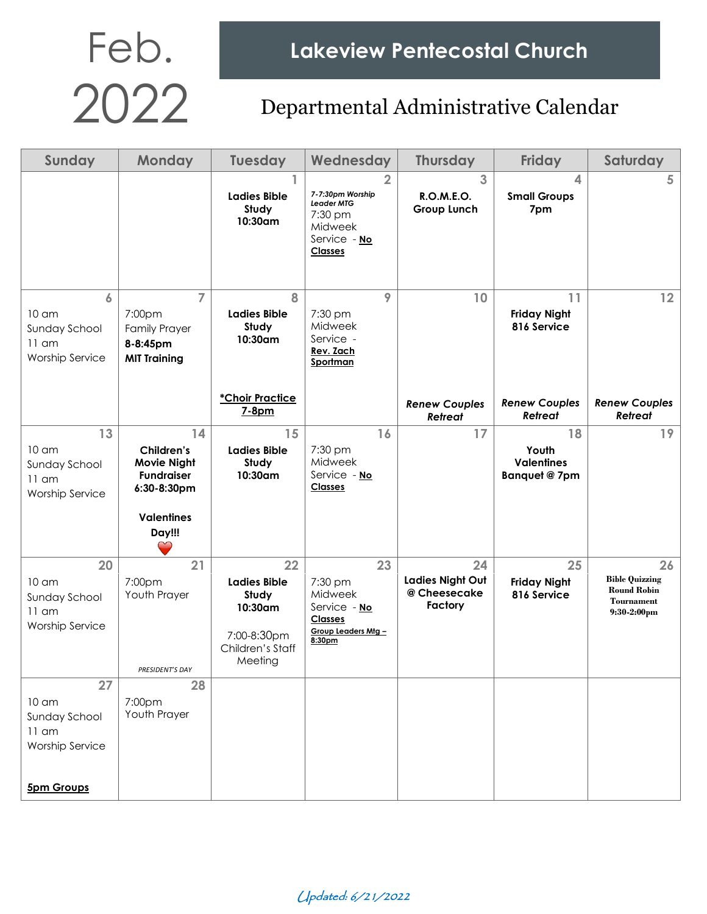Feb. Lakeview Pentecostal Church<br>2022 Departmental Administrative Calend

| Sunday                                                                                     | <b>Monday</b>                                                                                      | <b>Tuesday</b>                                                                              | Wednesday                                                                                                | <b>Thursday</b>                                   | <b>Friday</b>                                     | Saturday                                                                                 |
|--------------------------------------------------------------------------------------------|----------------------------------------------------------------------------------------------------|---------------------------------------------------------------------------------------------|----------------------------------------------------------------------------------------------------------|---------------------------------------------------|---------------------------------------------------|------------------------------------------------------------------------------------------|
|                                                                                            |                                                                                                    | <b>Ladies Bible</b><br>Study<br>10:30am                                                     | $\overline{2}$<br>7-7:30pm Worship<br>Leader MTG<br>7:30 pm<br>Midweek<br>Service - No<br><b>Classes</b> | 3<br>R.O.M.E.O.<br><b>Group Lunch</b>             | 4<br><b>Small Groups</b><br>7pm                   | 5                                                                                        |
| 6<br>$10 \text{ cm}$<br>Sunday School<br>$11$ am<br><b>Worship Service</b>                 | $\overline{7}$<br>7:00pm<br><b>Family Prayer</b><br>8-8:45pm<br><b>MIT Training</b>                | 8<br><b>Ladies Bible</b><br>Study<br>10:30am                                                | 9<br>7:30 pm<br>Midweek<br>Service -<br>Rev. Zach<br>Sportman                                            | 10                                                | 11<br><b>Friday Night</b><br>816 Service          | 12                                                                                       |
|                                                                                            |                                                                                                    | *Choir Practice<br>7-8pm                                                                    |                                                                                                          | <b>Renew Couples</b><br>Retreat                   | <b>Renew Couples</b><br><b>Retreat</b>            | <b>Renew Couples</b><br><b>Retreat</b>                                                   |
| 13<br>$10 \text{ cm}$<br>Sunday School<br>$11$ am<br><b>Worship Service</b>                | 14<br>Children's<br><b>Movie Night</b><br>Fundraiser<br>6:30-8:30pm<br><b>Valentines</b><br>Day!!! | 15<br><b>Ladies Bible</b><br>Study<br>10:30am                                               | 16<br>7:30 pm<br>Midweek<br>Service - No<br><b>Classes</b>                                               | 17                                                | 18<br>Youth<br><b>Valentines</b><br>Banquet @ 7pm | 19                                                                                       |
| 20<br>$10 \text{ cm}$<br>Sunday School<br>$11$ am<br><b>Worship Service</b>                | 21<br>7:00pm<br>Youth Prayer<br>PRESIDENT'S DAY                                                    | 22<br><b>Ladies Bible</b><br>Study<br>10:30am<br>7:00-8:30pm<br>Children's Staff<br>Meeting | 23<br>7:30 pm<br>Midweek<br>Service - No<br><b>Classes</b><br>Group Leaders Mtg -<br>8:30pm              | 24<br>Ladies Night Out<br>@ Cheesecake<br>Factory | 25<br><b>Friday Night</b><br>816 Service          | 26<br><b>Bible Quizzing</b><br><b>Round Robin</b><br><b>Tournament</b><br>$9:30-2:00$ pm |
| 27<br>10 <sub>cm</sub><br>Sunday School<br>$11$ am<br>Worship Service<br><b>5pm Groups</b> | 28<br>7:00pm<br>Youth Prayer                                                                       |                                                                                             |                                                                                                          |                                                   |                                                   |                                                                                          |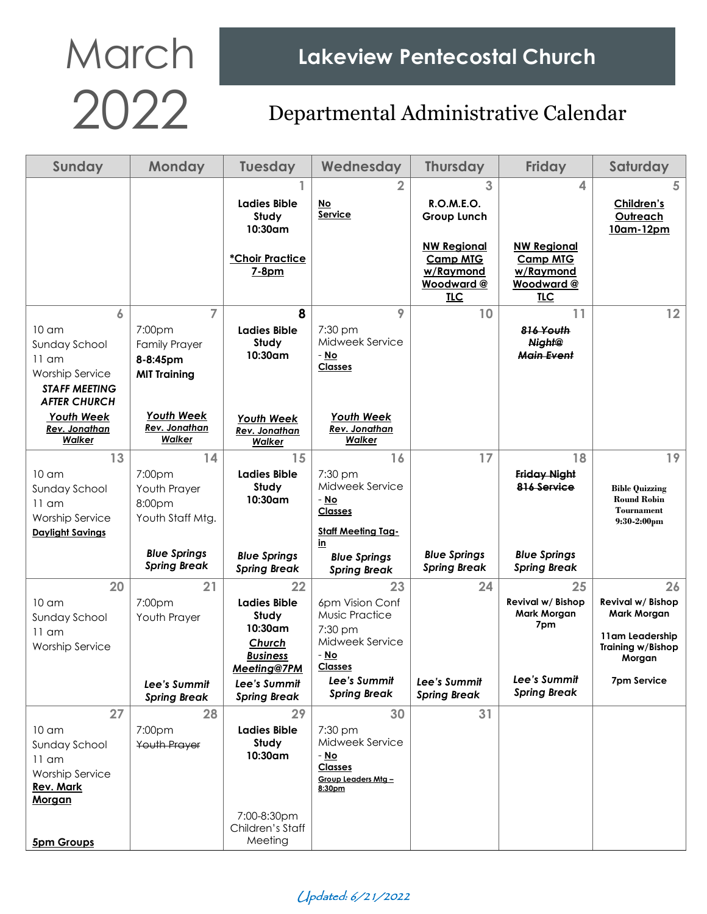| Sunday                                         | <b>Monday</b>                       | <b>Tuesday</b>                      | Wednesday                         | <b>Thursday</b>         | <b>Friday</b>                           | Saturday                                    |
|------------------------------------------------|-------------------------------------|-------------------------------------|-----------------------------------|-------------------------|-----------------------------------------|---------------------------------------------|
|                                                |                                     |                                     | 2                                 | 3                       | 4                                       | 5                                           |
|                                                |                                     | Ladies Bible                        | No<br>Service                     | <b>R.O.M.E.O.</b>       |                                         | Children's                                  |
|                                                |                                     | Study<br>$10:30$ am                 |                                   | <b>Group Lunch</b>      |                                         | Outreach<br>10am-12pm                       |
|                                                |                                     |                                     |                                   | <b>NW Regional</b>      | <b>NW Regional</b>                      |                                             |
|                                                |                                     | *Choir Practice                     |                                   | <b>Camp MTG</b>         | <b>Camp MTG</b>                         |                                             |
|                                                |                                     | $7-8pm$                             |                                   | w/Raymond<br>Woodward @ | w/Raymond<br><b>Woodward@</b>           |                                             |
|                                                |                                     |                                     |                                   | <b>TLC</b>              | <b>TLC</b>                              |                                             |
| 6                                              | $\overline{7}$                      | 8                                   | 9                                 | 10                      | 11                                      | 12                                          |
| $10 \text{ cm}$                                | 7:00pm                              | <b>Ladies Bible</b>                 | 7:30 pm                           |                         | 816 Youth                               |                                             |
| Sunday School                                  | <b>Family Prayer</b>                | Study<br>10:30am                    | Midweek Service<br>- No           |                         | <b>Night@</b><br><b>Main Event</b>      |                                             |
| $11$ am                                        | 8-8:45pm                            |                                     | <b>Classes</b>                    |                         |                                         |                                             |
| <b>Worship Service</b><br><b>STAFF MEETING</b> | <b>MIT Training</b>                 |                                     |                                   |                         |                                         |                                             |
| <b>AFTER CHURCH</b>                            |                                     |                                     |                                   |                         |                                         |                                             |
| <b>Youth Week</b>                              | <b>Youth Week</b>                   | <b>Youth Week</b>                   | <b>Youth Week</b>                 |                         |                                         |                                             |
| <b>Rev. Jonathan</b><br>Walker                 | <b>Rev. Jonathan</b><br>Walker      | <b>Rev. Jonathan</b><br>Walker      | Rev. Jonathan<br>Walker           |                         |                                         |                                             |
| 13                                             | 14                                  | 15                                  | 16                                | 17                      | 18                                      | 19                                          |
| $10 \text{ cm}$                                | 7:00pm                              | <b>Ladies Bible</b>                 | 7:30 pm                           |                         | <b>Friday Night</b>                     |                                             |
| Sunday School                                  | Youth Prayer                        | Study                               | Midweek Service                   |                         | 816 Service                             | <b>Bible Quizzing</b>                       |
| $11$ am                                        | 8:00pm                              | 10:30am                             | - No                              |                         |                                         | <b>Round Robin</b><br><b>Tournament</b>     |
| <b>Worship Service</b>                         | Youth Staff Mtg.                    |                                     | <b>Classes</b>                    |                         |                                         | $9:30-2:00 \text{pm}$                       |
| <b>Daylight Savings</b>                        |                                     |                                     | <b>Staff Meeting Tag-</b><br>in   |                         |                                         |                                             |
|                                                | <b>Blue Springs</b>                 | <b>Blue Springs</b>                 | <b>Blue Springs</b>               | <b>Blue Springs</b>     | <b>Blue Springs</b>                     |                                             |
|                                                | <b>Spring Break</b>                 | <b>Spring Break</b>                 | <b>Spring Break</b>               | <b>Spring Break</b>     | <b>Spring Break</b>                     |                                             |
| 20                                             | 21                                  | 22                                  | 23                                | 24                      | 25                                      | 26                                          |
| $10 \text{ cm}$                                | 7:00 <sub>pm</sub>                  | <b>Ladies Bible</b><br>Study        | 6pm Vision Conf<br>Music Practice |                         | Revival w/ Bishop<br><b>Mark Morgan</b> | Revival w/ Bishop<br><b>Mark Morgan</b>     |
| Sunday School<br>$11$ am                       | Youth Prayer                        | 10:30am                             | $7:30$ pm                         |                         | 7pm                                     |                                             |
| <b>Worship Service</b>                         |                                     | Church                              | Midweek Service                   |                         |                                         | 11am Leadership<br><b>Training w/Bishop</b> |
|                                                |                                     | <b>Business</b>                     | - <u>No</u>                       |                         |                                         | Morgan                                      |
|                                                |                                     | Meeting@7PM                         | <b>Classes</b><br>Lee's Summit    | Lee's Summit            | Lee's Summit                            | 7pm Service                                 |
|                                                | Lee's Summit<br><b>Spring Break</b> | Lee's Summit<br><b>Spring Break</b> | <b>Spring Break</b>               | <b>Spring Break</b>     | <b>Spring Break</b>                     |                                             |
| 27                                             | 28                                  | 29                                  | 30                                | 31                      |                                         |                                             |
| 10 <sub>cm</sub>                               | 7:00pm                              | <b>Ladies Bible</b>                 | 7:30 pm                           |                         |                                         |                                             |
| Sunday School                                  | <b>Youth Prayer</b>                 | Study<br>10:30am                    | Midweek Service<br>- No           |                         |                                         |                                             |
| $11$ am                                        |                                     |                                     | <b>Classes</b>                    |                         |                                         |                                             |
| <b>Worship Service</b><br><b>Rev. Mark</b>     |                                     |                                     | Group Leaders Mtg -               |                         |                                         |                                             |
| Morgan                                         |                                     |                                     | 8:30pm                            |                         |                                         |                                             |
|                                                |                                     | 7:00-8:30pm                         |                                   |                         |                                         |                                             |
|                                                |                                     | Children's Staff                    |                                   |                         |                                         |                                             |
| <b>5pm Groups</b>                              |                                     | Meeting                             |                                   |                         |                                         |                                             |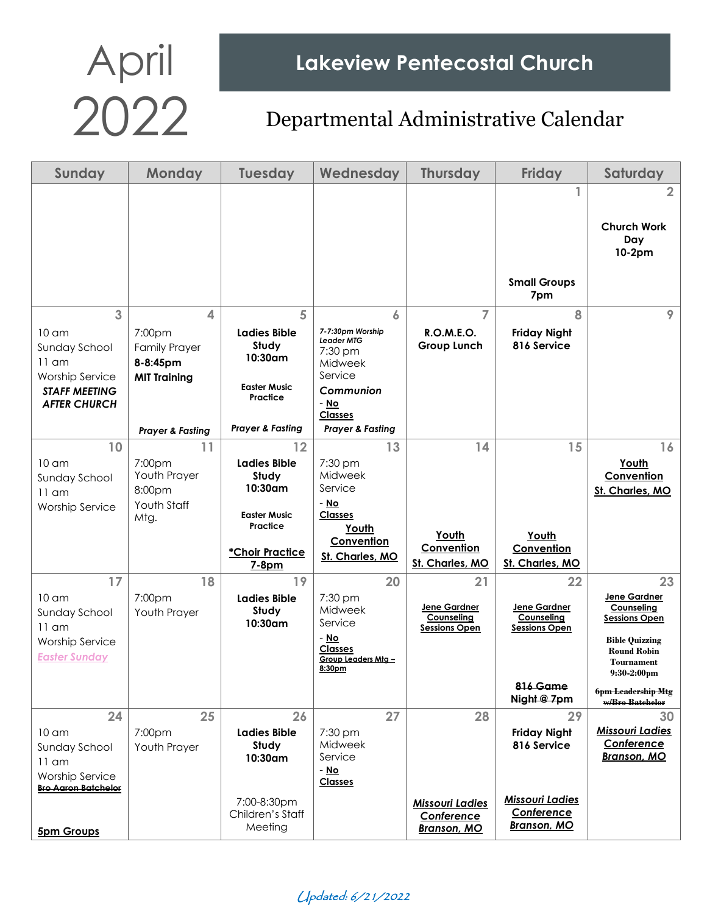## April Lakeview Pentecostal Church<br>2022 Departmental Administrative Calend

| Sunday                                      | <b>Monday</b>                              | <b>Tuesday</b>                             | Wednesday                                              | <b>Thursday</b>                         | <b>Friday</b>                        | Saturday                                     |
|---------------------------------------------|--------------------------------------------|--------------------------------------------|--------------------------------------------------------|-----------------------------------------|--------------------------------------|----------------------------------------------|
|                                             |                                            |                                            |                                                        |                                         |                                      | $\overline{2}$                               |
|                                             |                                            |                                            |                                                        |                                         |                                      | <b>Church Work</b>                           |
|                                             |                                            |                                            |                                                        |                                         |                                      | Day<br>10-2pm                                |
|                                             |                                            |                                            |                                                        |                                         |                                      |                                              |
|                                             |                                            |                                            |                                                        |                                         | <b>Small Groups</b><br>7pm           |                                              |
| 3                                           | 4                                          | 5                                          | 6                                                      | 7                                       | 8                                    | 9                                            |
| $10 \text{ cm}$<br>Sunday School<br>$11$ am | 7:00pm<br><b>Family Prayer</b><br>8-8:45pm | <b>Ladies Bible</b><br>Study<br>$10:30$ am | 7-7:30pm Worship<br>Leader MTG<br>$7:30$ pm<br>Midweek | <b>R.O.M.E.O.</b><br><b>Group Lunch</b> | <b>Friday Night</b><br>816 Service   |                                              |
| <b>Worship Service</b>                      | <b>MIT Training</b>                        | <b>Easter Music</b>                        | Service                                                |                                         |                                      |                                              |
| <b>STAFF MEETING</b><br><b>AFTER CHURCH</b> |                                            | Practice                                   | Communion<br>- No                                      |                                         |                                      |                                              |
|                                             | <b>Prayer &amp; Fasting</b>                | <b>Prayer &amp; Fasting</b>                | <b>Classes</b><br><b>Prayer &amp; Fasting</b>          |                                         |                                      |                                              |
| 10                                          | 11                                         | 12                                         | 13                                                     | 14                                      | 15                                   | 16                                           |
| $10 \text{ cm}$                             | 7:00 <sub>pm</sub>                         | <b>Ladies Bible</b>                        | 7:30 pm                                                |                                         |                                      | Youth                                        |
| Sunday School                               | Youth Prayer                               | Study<br>10:30am                           | Midweek<br>Service                                     |                                         |                                      | Convention                                   |
| $11$ am<br><b>Worship Service</b>           | 8:00pm<br>Youth Staff                      |                                            | - No                                                   |                                         |                                      | St. Charles, MO                              |
|                                             | Mtg.                                       | <b>Easter Music</b><br>Practice            | <b>Classes</b>                                         |                                         |                                      |                                              |
|                                             |                                            |                                            | Youth<br>Convention                                    | Youth                                   | Youth                                |                                              |
|                                             |                                            | *Choir Practice                            | St. Charles, MO                                        | Convention<br>St. Charles, MO           | Convention<br>St. Charles, MO        |                                              |
| 17                                          | 18                                         | $7-8pm$<br>19                              | 20                                                     | 21                                      | 22                                   | 23                                           |
| $10 \text{ cm}$                             | 7:00pm                                     | <b>Ladies Bible</b>                        | 7:30 pm                                                |                                         |                                      | Jene Gardner                                 |
| Sunday School                               | Youth Prayer                               | Study                                      | Midweek                                                | Jene Gardner<br>Counseling              | Jene Gardner<br>Counseling           | Counseling<br><b>Sessions Open</b>           |
| $11 \text{ cm}$                             |                                            | 10:30am                                    | Service<br>- No                                        | <b>Sessions Open</b>                    | Sessions Open                        |                                              |
| <b>Worship Service</b>                      |                                            |                                            | <b>Classes</b>                                         |                                         |                                      | <b>Bible Quizzing</b><br><b>Round Robin</b>  |
| <b>Easter Sunday</b>                        |                                            |                                            | Group Leaders Mtg -<br>8:30pm                          |                                         |                                      | <b>Tournament</b><br>$9:30-2:00$ pm          |
|                                             |                                            |                                            |                                                        |                                         | 816 Game<br>Night @ 7pm              | <b>6pm Leadership Mtg</b><br>w/Bro Batchelor |
| 24                                          | 25                                         | 26                                         | 27                                                     | 28                                      | 29                                   | 30                                           |
| 10 <sub>cm</sub>                            | 7:00pm                                     | <b>Ladies Bible</b>                        | 7:30 pm                                                |                                         | <b>Friday Night</b>                  | <b>Missouri Ladies</b><br>Conference         |
| Sunday School<br>$11$ am                    | Youth Prayer                               | Study<br>10:30am                           | Midweek<br>Service                                     |                                         | 816 Service                          | <b>Branson, MO</b>                           |
| <b>Worship Service</b>                      |                                            |                                            | - <u>No</u>                                            |                                         |                                      |                                              |
| <b>Bro Aaron Batchelor</b>                  |                                            |                                            | <b>Classes</b>                                         |                                         |                                      |                                              |
|                                             |                                            | 7:00-8:30pm<br>Children's Staff            |                                                        | <b>Missouri Ladies</b><br>Conference    | <b>Missouri Ladies</b><br>Conference |                                              |
| <b>5pm Groups</b>                           |                                            | Meeting                                    |                                                        | <b>Branson, MO</b>                      | <b>Branson, MO</b>                   |                                              |

Updated: 6/21/2022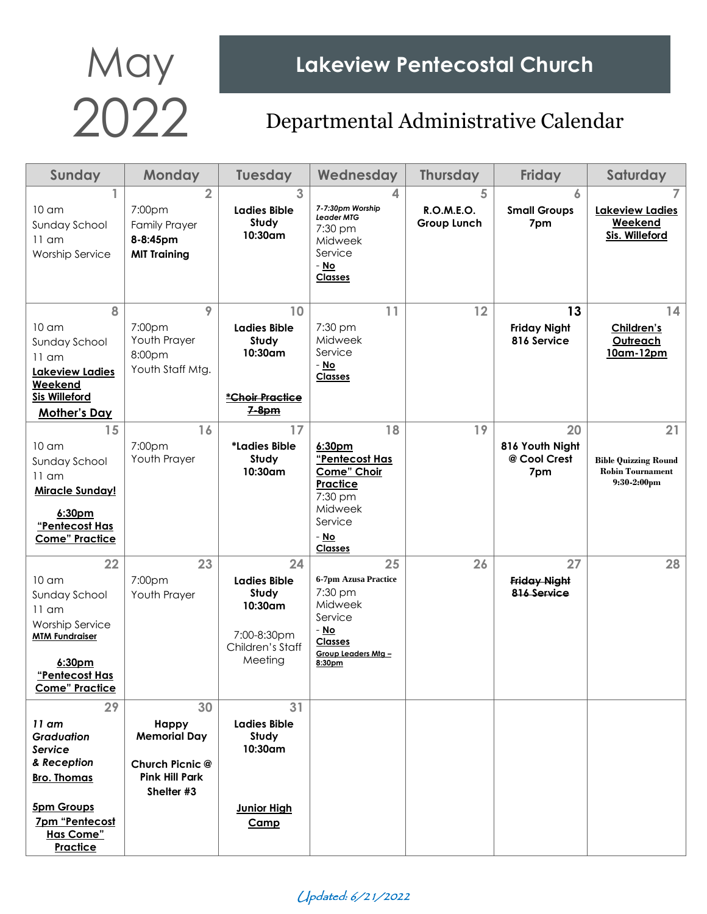## May Lakeview Pentecostal Church<br>2022 Departmental Administrative Calend

| Sunday                                                                                                                                                     | <b>Monday</b>                                                                                       | <b>Tuesday</b>                                                                              | Wednesday                                                                                                                        | <b>Thursday</b>                       | <b>Friday</b>                                | Saturday                                                                       |
|------------------------------------------------------------------------------------------------------------------------------------------------------------|-----------------------------------------------------------------------------------------------------|---------------------------------------------------------------------------------------------|----------------------------------------------------------------------------------------------------------------------------------|---------------------------------------|----------------------------------------------|--------------------------------------------------------------------------------|
| $10 \text{ cm}$<br>Sunday School<br>$11$ am<br><b>Worship Service</b>                                                                                      | $\overline{2}$<br>7:00pm<br><b>Family Prayer</b><br>8-8:45pm<br><b>MIT Training</b>                 | 3<br><b>Ladies Bible</b><br>Study<br>10:30am                                                | 4<br>7-7:30pm Worship<br><b>Leader MTG</b><br>7:30 pm<br>Midweek<br>Service<br>- No<br><b>Classes</b>                            | 5<br>R.O.M.E.O.<br><b>Group Lunch</b> | 6<br><b>Small Groups</b><br>7pm              | Lakeview Ladies<br>Weekend<br>Sis. Willeford                                   |
| 8<br>10 <sub>cm</sub><br>Sunday School<br>$11$ am<br>Lakeview Ladies<br>Weekend<br><b>Sis Willeford</b><br><b>Mother's Day</b>                             | 9<br>7:00pm<br>Youth Prayer<br>8:00pm<br>Youth Staff Mtg.                                           | 10<br><b>Ladies Bible</b><br>Study<br>10:30am<br>*Choir Practice<br>7-8pm                   | 11<br>7:30 pm<br>Midweek<br>Service<br>- No<br><b>Classes</b>                                                                    | 12                                    | 13<br><b>Friday Night</b><br>816 Service     | 14<br>Children's<br>Outreach<br>10am-12pm                                      |
| 15<br>10 <sub>cm</sub><br>Sunday School<br>$11$ am<br><b>Miracle Sunday!</b><br>6:30pm<br>"Pentecost Has<br><b>Come" Practice</b>                          | 16<br>7:00pm<br>Youth Prayer                                                                        | 17<br>*Ladies Bible<br>Study<br>10:30am                                                     | 18<br>6:30 <sub>pm</sub><br>"Pentecost Has<br>Come" Choir<br>Practice<br>7:30 pm<br>Midweek<br>Service<br>- No<br><b>Classes</b> | 19                                    | 20<br>816 Youth Night<br>@ Cool Crest<br>7pm | 21<br><b>Bible Quizzing Round</b><br><b>Robin Tournament</b><br>$9:30-2:00$ pm |
| 22<br>10 <sub>cm</sub><br>Sunday School<br>$11$ am<br><b>Worship Service</b><br><b>MTM Fundraiser</b><br>6:30pm<br>"Pentecost Has<br><b>Come" Practice</b> | 23<br>7:00pm<br>Youth Prayer                                                                        | 24<br><b>Ladies Bible</b><br>Study<br>10:30am<br>7:00-8:30pm<br>Children's Staff<br>Meeting | 25<br>6-7pm Azusa Practice<br>7:30 pm<br>Midweek<br>Service<br>- No<br><b>Classes</b><br>Group Leaders Mtg -<br>8:30pm           | 26                                    | 27<br><b>Friday Night</b><br>816 Service     | 28                                                                             |
| 29<br>$11$ am<br><b>Graduation</b><br>Service<br>& Reception<br><b>Bro. Thomas</b><br><b>5pm Groups</b><br>7pm "Pentecost<br><b>Has Come"</b><br>Practice  | 30<br><b>Happy</b><br><b>Memorial Day</b><br>Church Picnic @<br><b>Pink Hill Park</b><br>Shelter #3 | 31<br><b>Ladies Bible</b><br>Study<br>10:30am<br><b>Junior High</b><br>Camp                 |                                                                                                                                  |                                       |                                              |                                                                                |

Updated: 6/21/2022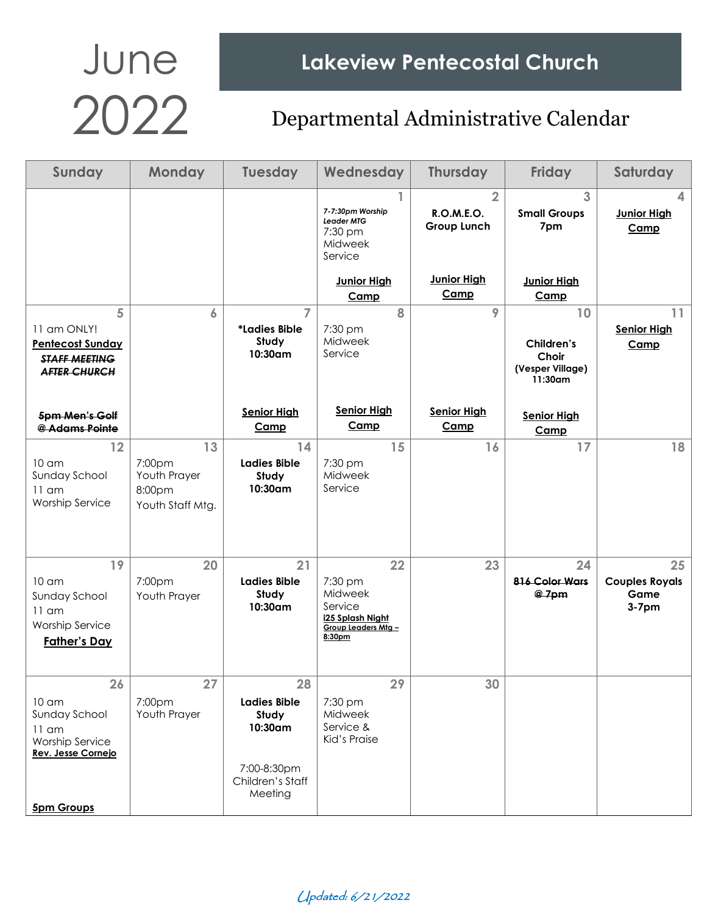## June Lakeview Pentecostal Church<br>2022 Departmental Administrative Calend

#### Departmental Administrative Calendar

| Sunday                                                                                                                  | <b>Monday</b>                                              | <b>Tuesday</b>                                                                              | Wednesday                                                                                | <b>Thursday</b>                                    | <b>Friday</b>                                               | Saturday                                       |
|-------------------------------------------------------------------------------------------------------------------------|------------------------------------------------------------|---------------------------------------------------------------------------------------------|------------------------------------------------------------------------------------------|----------------------------------------------------|-------------------------------------------------------------|------------------------------------------------|
|                                                                                                                         |                                                            |                                                                                             | 7-7:30pm Worship<br>Leader MTG<br>$7:30$ pm<br>Midweek<br>Service                        | $\overline{2}$<br><b>R.O.M.E.O.</b><br>Group Lunch | 3<br><b>Small Groups</b><br>7pm                             | <b>Junior High</b><br>Camp                     |
|                                                                                                                         |                                                            |                                                                                             | <b>Junior High</b><br>Camp                                                               | <b>Junior High</b><br>Camp                         | <b>Junior High</b><br>Camp                                  |                                                |
| 5<br>11 am ONLY!<br><b>Pentecost Sunday</b><br><b>STAFF MEETING</b><br><b>AFTER CHURCH</b>                              | 6                                                          | $\overline{7}$<br>*Ladies Bible<br>Study<br>10:30am                                         | 8<br>7:30 pm<br>Midweek<br>Service                                                       | 9                                                  | 10<br>Children's<br>Choir<br>(Vesper Village)<br>$11:30$ am | 11<br><b>Senior High</b><br>Camp               |
| 5pm Men's Golf<br>@ Adams Pointe                                                                                        |                                                            | <b>Senior High</b><br>Camp                                                                  | <b>Senior High</b><br>Camp                                                               | <b>Senior High</b><br>Camp                         | <b>Senior High</b><br>Camp                                  |                                                |
| 12<br>$10 \text{ cm}$<br>Sunday School<br>$11$ am<br><b>Worship Service</b>                                             | 13<br>7:00pm<br>Youth Prayer<br>8:00pm<br>Youth Staff Mtg. | 14<br><b>Ladies Bible</b><br>Study<br>10:30am                                               | 15<br>7:30 pm<br>Midweek<br>Service                                                      | 16                                                 | 17                                                          | 18                                             |
| 19<br>10 <sub>cm</sub><br>Sunday School<br>$11$ am<br><b>Worship Service</b><br><b>Father's Day</b>                     | 20<br>7:00pm<br>Youth Prayer                               | 21<br><b>Ladies Bible</b><br>Study<br>10:30am                                               | 22<br>7:30 pm<br>Midweek<br>Service<br>i25 Splash Night<br>Group Leaders Mtg -<br>8:30pm | 23                                                 | 24<br>816 Color Wars<br>@7pm                                | 25<br><b>Couples Royals</b><br>Game<br>$3-7pm$ |
| 26<br>10 <sub>cm</sub><br>Sunday School<br>$11$ am<br><b>Worship Service</b><br>Rev. Jesse Cornejo<br><b>5pm Groups</b> | 27<br>7:00pm<br>Youth Prayer                               | 28<br><b>Ladies Bible</b><br>Study<br>10:30am<br>7:00-8:30pm<br>Children's Staff<br>Meeting | 29<br>7:30 pm<br>Midweek<br>Service &<br>Kid's Praise                                    | 30                                                 |                                                             |                                                |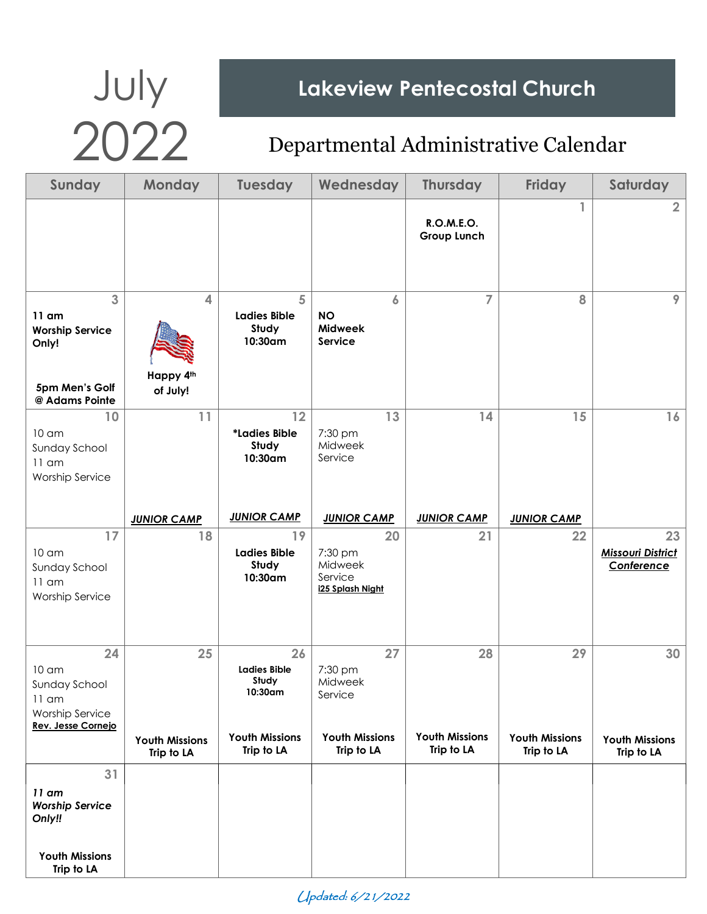# July **Lakeview Pentecostal Church**

| Sunday                                                                                             | <b>Monday</b>                                    | <b>Tuesday</b>                                                                       | Wednesday                                                                  | <b>Thursday</b>                           | <b>Friday</b>                             | Saturday                                     |
|----------------------------------------------------------------------------------------------------|--------------------------------------------------|--------------------------------------------------------------------------------------|----------------------------------------------------------------------------|-------------------------------------------|-------------------------------------------|----------------------------------------------|
|                                                                                                    |                                                  |                                                                                      |                                                                            | R.O.M.E.O.<br>Group Lunch                 | 1                                         | $\overline{2}$                               |
| 3<br>$11$ am<br><b>Worship Service</b><br>Only!<br>5pm Men's Golf<br>@ Adams Pointe                | $\overline{\mathbf{4}}$<br>Happy 4th<br>of July! | 5<br><b>Ladies Bible</b><br>Study<br>10:30am                                         | 6<br><b>NO</b><br>Midweek<br>Service                                       | 7                                         | 8                                         | 9                                            |
| 10<br>10 <sub>cm</sub><br>Sunday School<br>$11$ am<br><b>Worship Service</b>                       | 11                                               | 12<br>*Ladies Bible<br>Study<br>10:30am                                              | 13<br>7:30 pm<br>Midweek<br>Service                                        | 14                                        | 15                                        | 16                                           |
|                                                                                                    | <b>JUNIOR CAMP</b>                               | <b>JUNIOR CAMP</b>                                                                   | <b>JUNIOR CAMP</b>                                                         | <b>JUNIOR CAMP</b>                        | <b>JUNIOR CAMP</b>                        |                                              |
| 17<br>10 am<br>Sunday School<br>$11$ am<br><b>Worship Service</b>                                  | 18                                               | 19<br><b>Ladies Bible</b><br>Study<br>10:30am                                        | 20<br>7:30 pm<br>Midweek<br>Service<br>i25 Splash Night                    | 21                                        | 22                                        | 23<br><b>Missouri District</b><br>Conference |
| 24<br>10 <sub>cm</sub><br>Sunday School<br>$11$ am<br><b>Worship Service</b><br>Rev. Jesse Cornejo | 25<br><b>Youth Missions</b><br>Trip to LA        | 26<br><b>Ladies Bible</b><br>Study<br>10:30am<br><b>Youth Missions</b><br>Trip to LA | 27<br>7:30 pm<br>Midweek<br>Service<br><b>Youth Missions</b><br>Trip to LA | 28<br><b>Youth Missions</b><br>Trip to LA | 29<br><b>Youth Missions</b><br>Trip to LA | 30<br><b>Youth Missions</b><br>Trip to LA    |
| 31<br>$11$ am<br><b>Worship Service</b><br>Only!!<br><b>Youth Missions</b><br>Trip to LA           |                                                  |                                                                                      |                                                                            |                                           |                                           |                                              |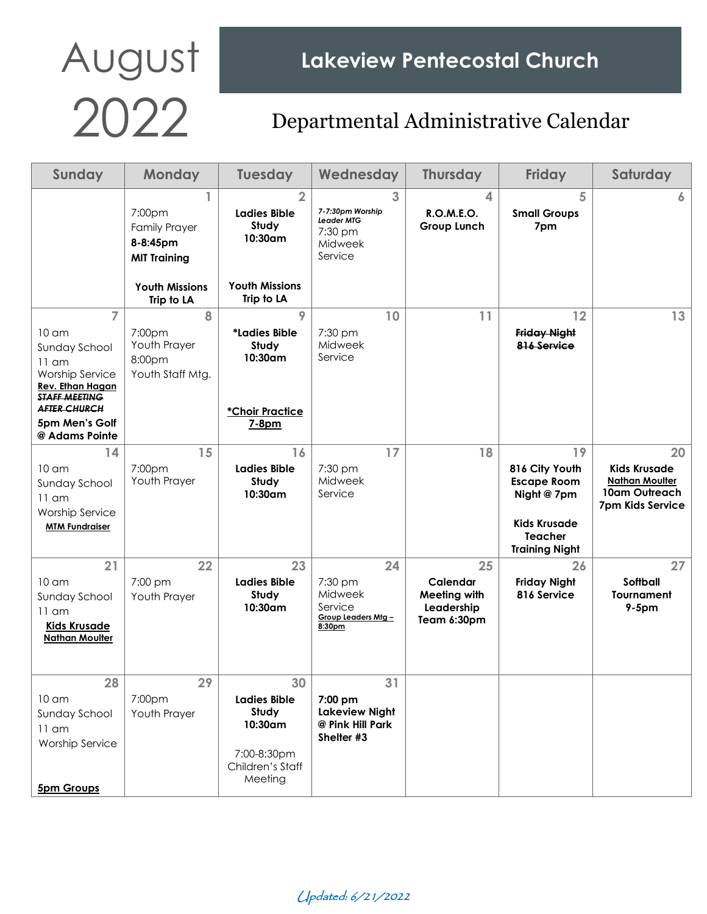# AUGUST Lakeview Pentecostal Church<br>2022 Departmental Administrative Calend

#### 2022 Departmental Administrative Calendar

| Sunday                                                                                                                                                                               | <b>Monday</b>                                                                                   | <b>Tuesday</b>                                                                              | Wednesday                                                                   | <b>Thursday</b>                                                    | <b>Friday</b>                                                                                                               | Saturday                                                                                |
|--------------------------------------------------------------------------------------------------------------------------------------------------------------------------------------|-------------------------------------------------------------------------------------------------|---------------------------------------------------------------------------------------------|-----------------------------------------------------------------------------|--------------------------------------------------------------------|-----------------------------------------------------------------------------------------------------------------------------|-----------------------------------------------------------------------------------------|
|                                                                                                                                                                                      | 1<br>7:00pm<br><b>Family Prayer</b><br>8-8:45pm<br><b>MIT Training</b><br><b>Youth Missions</b> | $\overline{2}$<br><b>Ladies Bible</b><br>Study<br>10:30am<br><b>Youth Missions</b>          | 3<br>7-7:30pm Worship<br><b>Leader MTG</b><br>7:30 pm<br>Midweek<br>Service | 4<br><b>R.O.M.E.O.</b><br>Group Lunch                              | 5<br><b>Small Groups</b><br>7pm                                                                                             | 6                                                                                       |
| $\overline{7}$<br>10 <sub>cm</sub><br>Sunday School<br>$11$ am<br><b>Worship Service</b><br><b>Rev. Ethan Hagan</b><br><b>STAFF MEETING</b><br><b>AFTER CHURCH</b><br>5pm Men's Golf | Trip to LA<br>8<br>7:00 <sub>pm</sub><br>Youth Prayer<br>8:00pm<br>Youth Staff Mtg.             | Trip to LA<br>$\mathsf{Q}$<br>*Ladies Bible<br>Study<br>10:30am<br>*Choir Practice<br>7-8pm | 10<br>$7:30$ pm<br>Midweek<br>Service                                       | 11                                                                 | 12<br><b>Friday Night</b><br>816 Service                                                                                    | 13                                                                                      |
| @ Adams Pointe<br>14<br>10 <sub>cm</sub><br>Sunday School<br>$11$ am<br><b>Worship Service</b><br><b>MTM Fundraiser</b>                                                              | 15<br>7:00pm<br>Youth Prayer                                                                    | 16<br><b>Ladies Bible</b><br>Study<br>10:30am                                               | 17<br>7:30 pm<br>Midweek<br>Service                                         | 18                                                                 | 19<br>816 City Youth<br><b>Escape Room</b><br>Night @ 7pm<br><b>Kids Krusade</b><br><b>Teacher</b><br><b>Training Night</b> | 20<br><b>Kids Krusade</b><br><b>Nathan Moulter</b><br>10am Outreach<br>7pm Kids Service |
| 21<br>10 <sub>cm</sub><br>Sunday School<br>$11$ am<br><b>Kids Krusade</b><br><b>Nathan Moulter</b>                                                                                   | 22<br>7:00 pm<br>Youth Prayer                                                                   | 23<br><b>Ladies Bible</b><br>Study<br>10:30am                                               | 24<br>$7:30$ pm<br>Midweek<br>Service<br>Group Leaders Mtg -<br>8:30pm      | 25<br>Calendar<br><b>Meeting with</b><br>Leadership<br>Team 6:30pm | 26<br><b>Friday Night</b><br>816 Service                                                                                    | 27<br>Softball<br><b>Tournament</b><br>$9-5$ pm                                         |
| 28<br>10 <sub>cm</sub><br>Sunday School<br>$11$ am<br><b>Worship Service</b><br><b>5pm Groups</b>                                                                                    | 29<br>7:00pm<br>Youth Prayer                                                                    | 30<br><b>Ladies Bible</b><br>Study<br>10:30am<br>7:00-8:30pm<br>Children's Staff<br>Meeting | 31<br>7:00 pm<br><b>Lakeview Night</b><br>@ Pink Hill Park<br>Shelter #3    |                                                                    |                                                                                                                             |                                                                                         |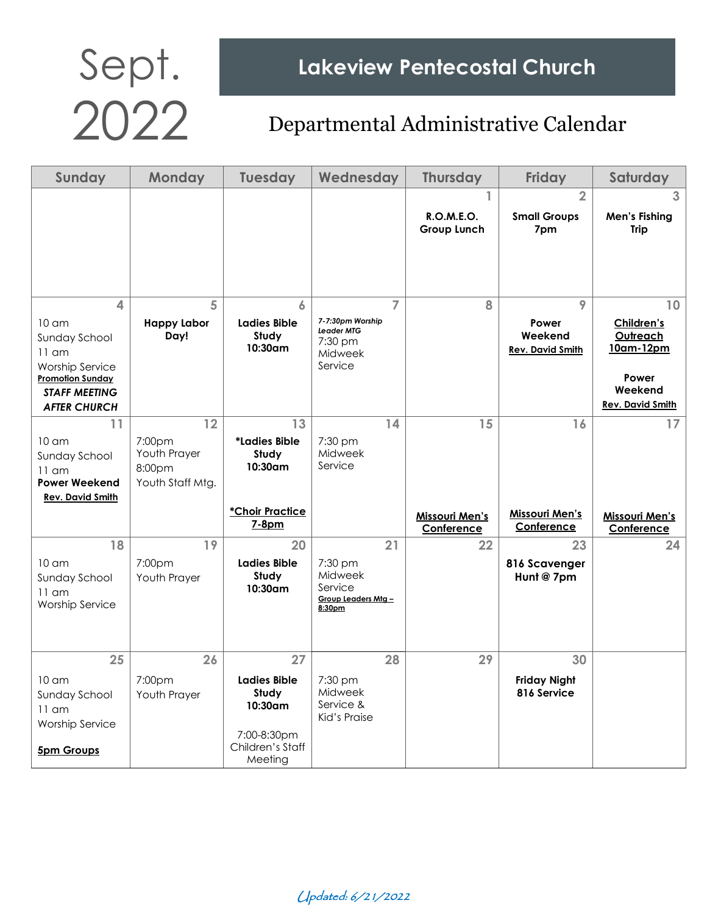| <b>Sunday</b>                                                                                                                                         | <b>Monday</b>                                                          | <b>Tuesday</b>                                                                                 | Wednesday                                                         |                | <b>Thursday</b>                           | <b>Friday</b>                                    | Saturday                                                                                         |
|-------------------------------------------------------------------------------------------------------------------------------------------------------|------------------------------------------------------------------------|------------------------------------------------------------------------------------------------|-------------------------------------------------------------------|----------------|-------------------------------------------|--------------------------------------------------|--------------------------------------------------------------------------------------------------|
|                                                                                                                                                       |                                                                        |                                                                                                |                                                                   |                | ı.<br><b>R.O.M.E.O.</b><br>Group Lunch    | $\overline{2}$<br><b>Small Groups</b><br>7pm     | 3<br><b>Men's Fishing</b><br><b>Trip</b>                                                         |
| 4<br>10 <sub>cm</sub><br>Sunday School<br>$11$ am<br><b>Worship Service</b><br><b>Promotion Sunday</b><br><b>STAFF MEETING</b><br><b>AFTER CHURCH</b> | 5<br><b>Happy Labor</b><br>Day!                                        | 6<br><b>Ladies Bible</b><br>Study<br>$10:30$ am                                                | 7-7:30pm Worship<br>Leader MTG<br>$7:30$ pm<br>Midweek<br>Service | $\overline{7}$ | 8                                         | 9<br>Power<br>Weekend<br><b>Rev. David Smith</b> | 10<br>Children's<br>Outreach<br><u> 10am-12pm</u><br>Power<br>Weekend<br><b>Rev. David Smith</b> |
| 11<br>$10 \text{ cm}$<br>Sunday School<br>$11$ am<br><b>Power Weekend</b><br><b>Rev. David Smith</b>                                                  | 12<br>7:00 <sub>pm</sub><br>Youth Prayer<br>8:00pm<br>Youth Staff Mtg. | 13<br>*Ladies Bible<br>Study<br>10:30am<br>*Choir Practice<br>7-8pm                            | 7:30 pm<br>Midweek<br>Service                                     | 14             | 15<br><b>Missouri Men's</b><br>Conference | 16<br>Missouri Men's<br>Conference               | 17<br><b>Missouri Men's</b><br>Conference                                                        |
| 18<br>$10 \text{ cm}$<br>Sunday School<br>$11$ am<br><b>Worship Service</b>                                                                           | 19<br>7:00pm<br>Youth Prayer                                           | 20<br><b>Ladies Bible</b><br>Study<br>10:30am                                                  | 7:30 pm<br>Midweek<br>Service<br>Group Leaders Mtg -<br>8:30pm    | 21             | 22                                        | 23<br>816 Scavenger<br>Hunt @ 7pm                | 24                                                                                               |
| 25<br>10 <sub>cm</sub><br>Sunday School<br>$11$ am<br><b>Worship Service</b><br><b>5pm Groups</b>                                                     | 26<br>7:00pm<br>Youth Prayer                                           | 27<br><b>Ladies Bible</b><br>Study<br>$10:30$ am<br>7:00-8:30pm<br>Children's Staff<br>Meeting | 7:30 pm<br>Midweek<br>Service &<br>Kid's Praise                   | 28             | 29                                        | 30<br><b>Friday Night</b><br>816 Service         |                                                                                                  |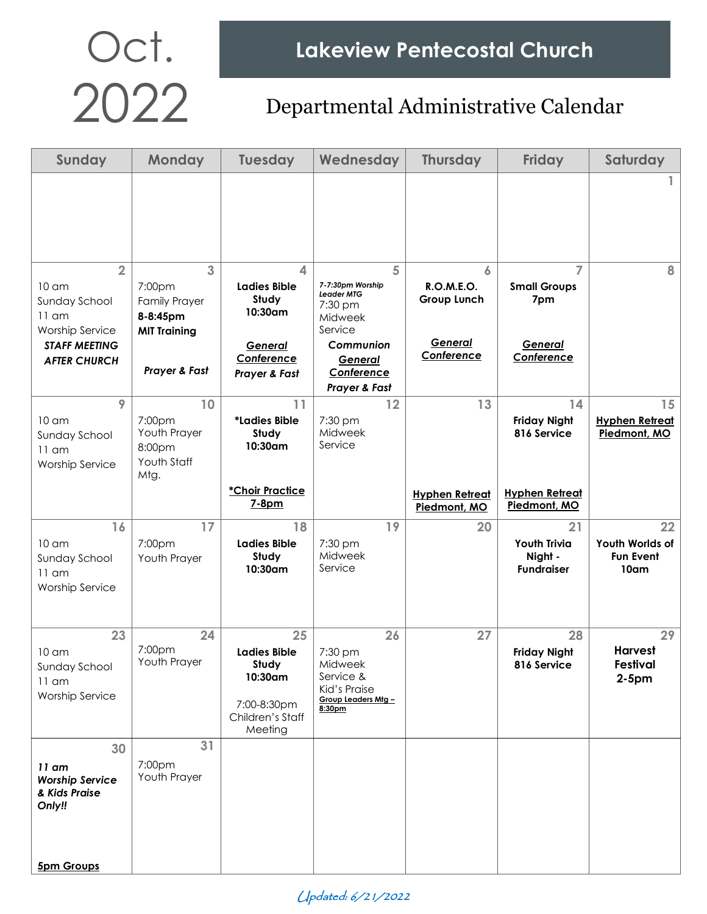| Sunday                                                                                                                                  | <b>Monday</b>                                                                                        | <b>Tuesday</b>                                                                                    | Wednesday                                                                                                                   | <b>Thursday</b>                                         | <b>Friday</b>                                                                     | Saturday                                          |
|-----------------------------------------------------------------------------------------------------------------------------------------|------------------------------------------------------------------------------------------------------|---------------------------------------------------------------------------------------------------|-----------------------------------------------------------------------------------------------------------------------------|---------------------------------------------------------|-----------------------------------------------------------------------------------|---------------------------------------------------|
|                                                                                                                                         |                                                                                                      |                                                                                                   |                                                                                                                             |                                                         |                                                                                   |                                                   |
| $\overline{2}$<br>10 <sub>cm</sub><br>Sunday School<br>$11$ am<br><b>Worship Service</b><br><b>STAFF MEETING</b><br><b>AFTER CHURCH</b> | $\overline{3}$<br>7:00pm<br><b>Family Prayer</b><br>8-8:45pm<br><b>MIT Training</b><br>Prayer & Fast | 4<br><b>Ladies Bible</b><br>Study<br>10:30am<br>General<br>Conference<br><b>Prayer &amp; Fast</b> | 5<br>7-7:30pm Worship<br>Leader MTG<br>7:30 pm<br>Midweek<br>Service<br>Communion<br>General<br>Conference<br>Prayer & Fast | 6<br>R.O.M.E.O.<br>Group Lunch<br>General<br>Conference | $\overline{7}$<br><b>Small Groups</b><br>7pm<br>General<br>Conference             | 8                                                 |
| 9<br>$10 \text{ cm}$<br>Sunday School<br>$11$ am<br><b>Worship Service</b>                                                              | 10<br>7:00 <sub>pm</sub><br>Youth Prayer<br>8:00pm<br>Youth Staff<br>Mtg.                            | 11<br>*Ladies Bible<br>Study<br>10:30am<br>*Choir Practice<br>7-8pm                               | 12<br>7:30 pm<br>Midweek<br>Service                                                                                         | 13<br><b>Hyphen Retreat</b><br>Piedmont, MO             | 14<br><b>Friday Night</b><br>816 Service<br><b>Hyphen Retreat</b><br>Piedmont, MO | 15<br><b>Hyphen Retreat</b><br>Piedmont, MO       |
| 16<br>10 <sub>cm</sub><br>Sunday School<br>$11$ am<br><b>Worship Service</b>                                                            | 17<br>7:00pm<br>Youth Prayer                                                                         | 18<br><b>Ladies Bible</b><br>Study<br>10:30am                                                     | 19<br>7:30 pm<br>Midweek<br>Service                                                                                         | 20                                                      | 21<br><b>Youth Trivia</b><br>Night -<br><b>Fundraiser</b>                         | 22<br>Youth Worlds of<br><b>Fun Event</b><br>10am |
| 23<br>10 <sub>cm</sub><br>Sunday School<br>$11$ am<br>Worship Service                                                                   | 24<br>7:00pm<br>Youth Prayer                                                                         | 25<br><b>Ladies Bible</b><br>Study<br>10:30am<br>7:00-8:30pm<br>Children's Staff<br>Meeting       | 26<br>7:30 pm<br>Midweek<br>Service &<br>Kid's Praise<br>Group Leaders Mtg -<br>8:30pm                                      | 27                                                      | 28<br><b>Friday Night</b><br>816 Service                                          | 29<br><b>Harvest</b><br>Festival<br>$2-5pm$       |
| 30<br>$11$ am<br><b>Worship Service</b><br>& Kids Praise<br>Only!!<br><b>5pm Groups</b>                                                 | 31<br>7:00pm<br>Youth Prayer                                                                         |                                                                                                   |                                                                                                                             |                                                         |                                                                                   |                                                   |

Updated: 6/21/2022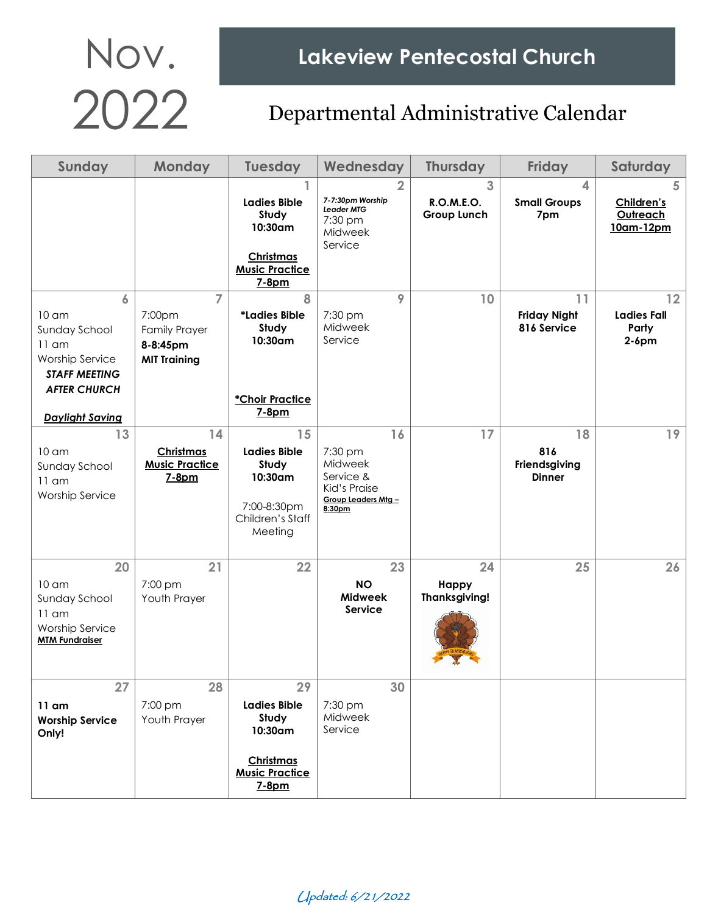| Sunday                                                                                                                                               | Monday                                                                              | <b>Tuesday</b>                                                                               | Wednesday                                                                                | <b>Thursday</b>                     | <b>Friday</b>                                | Saturday                                      |
|------------------------------------------------------------------------------------------------------------------------------------------------------|-------------------------------------------------------------------------------------|----------------------------------------------------------------------------------------------|------------------------------------------------------------------------------------------|-------------------------------------|----------------------------------------------|-----------------------------------------------|
|                                                                                                                                                      |                                                                                     | <b>Ladies Bible</b><br>Study<br>10:30am<br>Christmas<br><b>Music Practice</b><br>7-8pm       | $\overline{2}$<br>7-7:30pm Worship<br><b>Leader MTG</b><br>7:30 pm<br>Midweek<br>Service | 3<br>R.O.M.E.O.<br>Group Lunch      | $\overline{4}$<br><b>Small Groups</b><br>7pm | 5<br>Children's<br>Outreach<br>10am-12pm      |
| 6<br>10 <sub>cm</sub><br>Sunday School<br>$11$ am<br><b>Worship Service</b><br><b>STAFF MEETING</b><br><b>AFTER CHURCH</b><br><b>Daylight Saving</b> | $\overline{7}$<br>7:00pm<br><b>Family Prayer</b><br>8-8:45pm<br><b>MIT Training</b> | 8<br>*Ladies Bible<br>Study<br>10:30am<br>*Choir Practice<br>7-8pm                           | 9<br>7:30 pm<br>Midweek<br>Service                                                       | 10                                  | 11<br><b>Friday Night</b><br>816 Service     | 12<br><b>Ladies Fall</b><br>Party<br>$2-6$ pm |
| 13<br>10 <sub>cm</sub><br>Sunday School<br>$11$ am<br><b>Worship Service</b>                                                                         | 14<br>Christmas<br><b>Music Practice</b><br>7-8pm                                   | 15<br><b>Ladies Bible</b><br>Study<br>10:30am<br>7:00-8:30pm<br>Children's Staff<br>Meeting  | 16<br>7:30 pm<br>Midweek<br>Service &<br>Kid's Praise<br>Group Leaders Mtg -<br>8:30pm   | 17                                  | 18<br>816<br>Friendsgiving<br><b>Dinner</b>  | 19                                            |
| 20<br>10 <sub>cm</sub><br>Sunday School<br>$11$ am<br><b>Worship Service</b><br><b>MTM Fundraiser</b>                                                | 21<br>7:00 pm<br>Youth Prayer                                                       | 22                                                                                           | 23<br><b>NO</b><br><b>Midweek</b><br>Service                                             | 24<br>Happy<br><b>Thanksgiving!</b> | 25                                           | 26                                            |
| 27<br>$11$ am<br><b>Worship Service</b><br>Only!                                                                                                     | 28<br>7:00 pm<br>Youth Prayer                                                       | 29<br><b>Ladies Bible</b><br>Study<br>10:30am<br>Christmas<br><b>Music Practice</b><br>7-8pm | 30<br>7:30 pm<br>Midweek<br>Service                                                      |                                     |                                              |                                               |